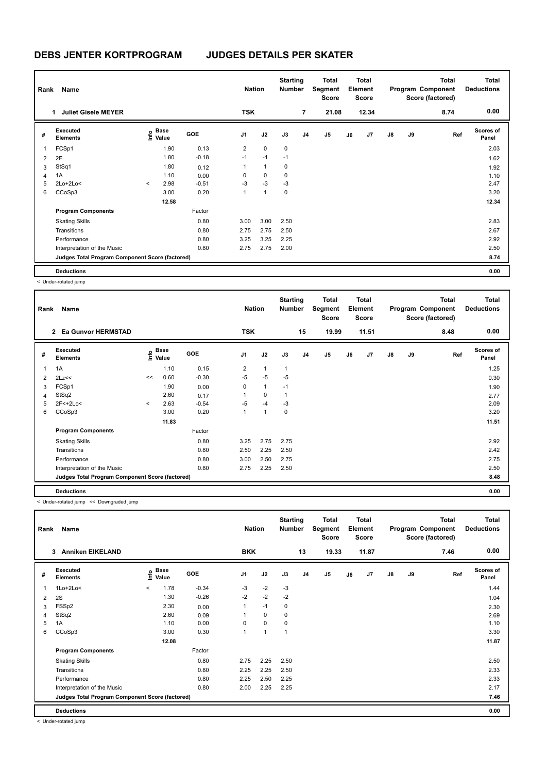| Rank | Name                                            |         |                                  |            | <b>Nation</b>  |              | <b>Starting</b><br><b>Number</b> |                | <b>Total</b><br>Segment<br><b>Score</b> |    | <b>Total</b><br>Element<br><b>Score</b> |               |    | Total<br>Program Component<br>Score (factored) | <b>Total</b><br><b>Deductions</b> |
|------|-------------------------------------------------|---------|----------------------------------|------------|----------------|--------------|----------------------------------|----------------|-----------------------------------------|----|-----------------------------------------|---------------|----|------------------------------------------------|-----------------------------------|
|      | <b>Juliet Gisele MEYER</b><br>1                 |         |                                  |            | <b>TSK</b>     |              |                                  | 7              | 21.08                                   |    | 12.34                                   |               |    | 8.74                                           | 0.00                              |
| #    | <b>Executed</b><br><b>Elements</b>              |         | <b>Base</b><br>e Base<br>⊆ Value | <b>GOE</b> | J1             | J2           | J3                               | J <sub>4</sub> | J <sub>5</sub>                          | J6 | J <sub>7</sub>                          | $\mathsf{J}8$ | J9 | Ref                                            | <b>Scores of</b><br>Panel         |
| 1    | FCSp1                                           |         | 1.90                             | 0.13       | $\overline{2}$ | $\mathbf 0$  | $\mathbf 0$                      |                |                                         |    |                                         |               |    |                                                | 2.03                              |
| 2    | 2F                                              |         | 1.80                             | $-0.18$    | $-1$           | $-1$         | $-1$                             |                |                                         |    |                                         |               |    |                                                | 1.62                              |
| 3    | StSq1                                           |         | 1.80                             | 0.12       | 1              | $\mathbf{1}$ | 0                                |                |                                         |    |                                         |               |    |                                                | 1.92                              |
| 4    | 1A                                              |         | 1.10                             | 0.00       | 0              | 0            | 0                                |                |                                         |    |                                         |               |    |                                                | 1.10                              |
| 5    | 2Lo+2Lo<                                        | $\prec$ | 2.98                             | $-0.51$    | $-3$           | $-3$         | $-3$                             |                |                                         |    |                                         |               |    |                                                | 2.47                              |
| 6    | CCoSp3                                          |         | 3.00                             | 0.20       | 1              | $\mathbf{1}$ | 0                                |                |                                         |    |                                         |               |    |                                                | 3.20                              |
|      |                                                 |         | 12.58                            |            |                |              |                                  |                |                                         |    |                                         |               |    |                                                | 12.34                             |
|      | <b>Program Components</b>                       |         |                                  | Factor     |                |              |                                  |                |                                         |    |                                         |               |    |                                                |                                   |
|      | <b>Skating Skills</b>                           |         |                                  | 0.80       | 3.00           | 3.00         | 2.50                             |                |                                         |    |                                         |               |    |                                                | 2.83                              |
|      | Transitions                                     |         |                                  | 0.80       | 2.75           | 2.75         | 2.50                             |                |                                         |    |                                         |               |    |                                                | 2.67                              |
|      | Performance                                     |         |                                  | 0.80       | 3.25           | 3.25         | 2.25                             |                |                                         |    |                                         |               |    |                                                | 2.92                              |
|      | Interpretation of the Music                     |         |                                  | 0.80       | 2.75           | 2.75         | 2.00                             |                |                                         |    |                                         |               |    |                                                | 2.50                              |
|      | Judges Total Program Component Score (factored) |         |                                  |            |                |              |                                  |                |                                         |    |                                         |               |    |                                                | 8.74                              |
|      | <b>Deductions</b>                               |         |                                  |            |                |              |                                  |                |                                         |    |                                         |               |    |                                                | 0.00                              |

< Under-rotated jump

| Rank | Name                                            |         |                                  |            | <b>Nation</b>  |              | <b>Starting</b><br><b>Number</b> |    | <b>Total</b><br>Segment<br><b>Score</b> |    | <b>Total</b><br>Element<br><b>Score</b> |               |    | <b>Total</b><br>Program Component<br>Score (factored) | <b>Total</b><br><b>Deductions</b> |
|------|-------------------------------------------------|---------|----------------------------------|------------|----------------|--------------|----------------------------------|----|-----------------------------------------|----|-----------------------------------------|---------------|----|-------------------------------------------------------|-----------------------------------|
|      | 2 Ea Gunvor HERMSTAD                            |         |                                  |            | <b>TSK</b>     |              |                                  | 15 | 19.99                                   |    | 11.51                                   |               |    | 8.48                                                  | 0.00                              |
| #    | Executed<br><b>Elements</b>                     |         | <b>Base</b><br>o Base<br>⊆ Value | <b>GOE</b> | J1             | J2           | J3                               | J4 | J <sub>5</sub>                          | J6 | J <sub>7</sub>                          | $\mathsf{J}8$ | J9 | Ref                                                   | <b>Scores of</b><br>Panel         |
| 1    | 1A                                              |         | 1.10                             | 0.15       | $\overline{2}$ | $\mathbf{1}$ | $\mathbf{1}$                     |    |                                         |    |                                         |               |    |                                                       | 1.25                              |
| 2    | 2Lz<<                                           | <<      | 0.60                             | $-0.30$    | $-5$           | $-5$         | $-5$                             |    |                                         |    |                                         |               |    |                                                       | 0.30                              |
| 3    | FCSp1                                           |         | 1.90                             | 0.00       | 0              | $\mathbf{1}$ | $-1$                             |    |                                         |    |                                         |               |    |                                                       | 1.90                              |
| 4    | StSq2                                           |         | 2.60                             | 0.17       | 1              | $\mathbf 0$  | $\mathbf{1}$                     |    |                                         |    |                                         |               |    |                                                       | 2.77                              |
| 5    | $2F<+2Lo<$                                      | $\prec$ | 2.63                             | $-0.54$    | $-5$           | $-4$         | $-3$                             |    |                                         |    |                                         |               |    |                                                       | 2.09                              |
| 6    | CCoSp3                                          |         | 3.00                             | 0.20       | 1              | 1            | 0                                |    |                                         |    |                                         |               |    |                                                       | 3.20                              |
|      |                                                 |         | 11.83                            |            |                |              |                                  |    |                                         |    |                                         |               |    |                                                       | 11.51                             |
|      | <b>Program Components</b>                       |         |                                  | Factor     |                |              |                                  |    |                                         |    |                                         |               |    |                                                       |                                   |
|      | <b>Skating Skills</b>                           |         |                                  | 0.80       | 3.25           | 2.75         | 2.75                             |    |                                         |    |                                         |               |    |                                                       | 2.92                              |
|      | Transitions                                     |         |                                  | 0.80       | 2.50           | 2.25         | 2.50                             |    |                                         |    |                                         |               |    |                                                       | 2.42                              |
|      | Performance                                     |         |                                  | 0.80       | 3.00           | 2.50         | 2.75                             |    |                                         |    |                                         |               |    |                                                       | 2.75                              |
|      | Interpretation of the Music                     |         |                                  | 0.80       | 2.75           | 2.25         | 2.50                             |    |                                         |    |                                         |               |    |                                                       | 2.50                              |
|      | Judges Total Program Component Score (factored) |         |                                  |            |                |              |                                  |    |                                         |    |                                         |               |    |                                                       | 8.48                              |
|      | <b>Deductions</b>                               |         |                                  |            |                |              |                                  |    |                                         |    |                                         |               |    |                                                       | 0.00                              |

< Under-rotated jump << Downgraded jump

| Rank | Name                                            |          |                                                  |            | <b>Nation</b>  |              | <b>Starting</b><br><b>Number</b> |                | <b>Total</b><br>Segment<br><b>Score</b> |    | <b>Total</b><br>Element<br><b>Score</b> |    |    | Total<br>Program Component<br>Score (factored) | <b>Total</b><br><b>Deductions</b> |
|------|-------------------------------------------------|----------|--------------------------------------------------|------------|----------------|--------------|----------------------------------|----------------|-----------------------------------------|----|-----------------------------------------|----|----|------------------------------------------------|-----------------------------------|
|      | <b>Anniken EIKELAND</b><br>3                    |          |                                                  |            | <b>BKK</b>     |              |                                  | 13             | 19.33                                   |    | 11.87                                   |    |    | 7.46                                           | 0.00                              |
| #    | <b>Executed</b><br><b>Elements</b>              |          | $\mathbf{e}$ Base<br>$\mathbf{e}$ Value<br>Value | <b>GOE</b> | J <sub>1</sub> | J2           | J3                               | J <sub>4</sub> | J5                                      | J6 | J7                                      | J8 | J9 | Ref                                            | <b>Scores of</b><br>Panel         |
| 1    | $1Lo+2Lo<$                                      | $\hat{}$ | 1.78                                             | $-0.34$    | $-3$           | $-2$         | $-3$                             |                |                                         |    |                                         |    |    |                                                | 1.44                              |
| 2    | 2S                                              |          | 1.30                                             | $-0.26$    | $-2$           | $-2$         | $-2$                             |                |                                         |    |                                         |    |    |                                                | 1.04                              |
| 3    | FSSp2                                           |          | 2.30                                             | 0.00       |                | $-1$         | 0                                |                |                                         |    |                                         |    |    |                                                | 2.30                              |
| 4    | StSq2                                           |          | 2.60                                             | 0.09       |                | 0            | 0                                |                |                                         |    |                                         |    |    |                                                | 2.69                              |
| 5    | 1A                                              |          | 1.10                                             | 0.00       | 0              | $\mathbf 0$  | 0                                |                |                                         |    |                                         |    |    |                                                | 1.10                              |
| 6    | CCoSp3                                          |          | 3.00                                             | 0.30       |                | $\mathbf{1}$ | 1                                |                |                                         |    |                                         |    |    |                                                | 3.30                              |
|      |                                                 |          | 12.08                                            |            |                |              |                                  |                |                                         |    |                                         |    |    |                                                | 11.87                             |
|      | <b>Program Components</b>                       |          |                                                  | Factor     |                |              |                                  |                |                                         |    |                                         |    |    |                                                |                                   |
|      | <b>Skating Skills</b>                           |          |                                                  | 0.80       | 2.75           | 2.25         | 2.50                             |                |                                         |    |                                         |    |    |                                                | 2.50                              |
|      | Transitions                                     |          |                                                  | 0.80       | 2.25           | 2.25         | 2.50                             |                |                                         |    |                                         |    |    |                                                | 2.33                              |
|      | Performance                                     |          |                                                  | 0.80       | 2.25           | 2.50         | 2.25                             |                |                                         |    |                                         |    |    |                                                | 2.33                              |
|      | Interpretation of the Music                     |          |                                                  | 0.80       | 2.00           | 2.25         | 2.25                             |                |                                         |    |                                         |    |    |                                                | 2.17                              |
|      | Judges Total Program Component Score (factored) |          |                                                  |            |                |              |                                  |                |                                         |    |                                         |    |    |                                                | 7.46                              |
|      | <b>Deductions</b>                               |          |                                                  |            |                |              |                                  |                |                                         |    |                                         |    |    |                                                | 0.00                              |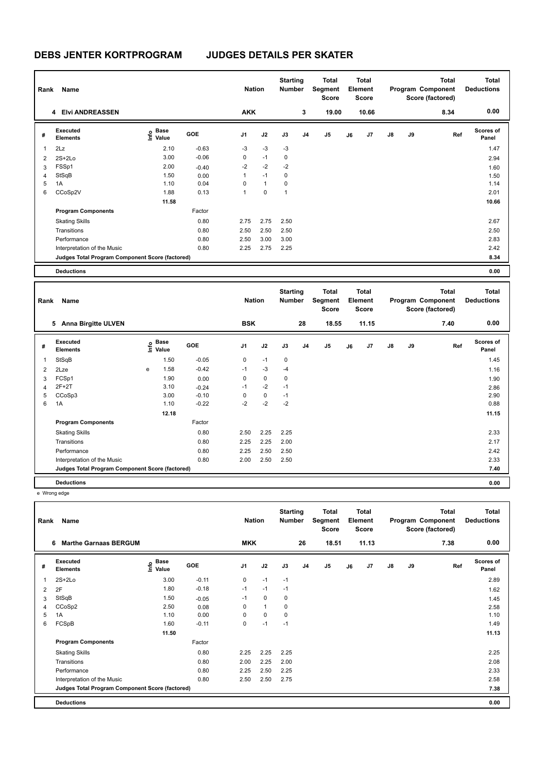| Rank | Name                                            |                   |            | <b>Nation</b>  |              | <b>Starting</b><br><b>Number</b> |                | <b>Total</b><br>Segment<br><b>Score</b> |    | <b>Total</b><br>Element<br><b>Score</b> |               |    | <b>Total</b><br>Program Component<br>Score (factored) | <b>Total</b><br><b>Deductions</b> |
|------|-------------------------------------------------|-------------------|------------|----------------|--------------|----------------------------------|----------------|-----------------------------------------|----|-----------------------------------------|---------------|----|-------------------------------------------------------|-----------------------------------|
|      | 4 Elvi ANDREASSEN                               |                   |            | <b>AKK</b>     |              |                                  | 3              | 19.00                                   |    | 10.66                                   |               |    | 8.34                                                  | 0.00                              |
| #    | Executed<br><b>Elements</b>                     | e Base<br>E Value | <b>GOE</b> | J <sub>1</sub> | J2           | J3                               | J <sub>4</sub> | J <sub>5</sub>                          | J6 | J7                                      | $\mathsf{J}8$ | J9 | Ref                                                   | <b>Scores of</b><br>Panel         |
| 1    | 2Lz                                             | 2.10              | $-0.63$    | $-3$           | $-3$         | $-3$                             |                |                                         |    |                                         |               |    |                                                       | 1.47                              |
| 2    | $2S+2Lo$                                        | 3.00              | $-0.06$    | 0              | $-1$         | 0                                |                |                                         |    |                                         |               |    |                                                       | 2.94                              |
| 3    | FSSp1                                           | 2.00              | $-0.40$    | $-2$           | $-2$         | $-2$                             |                |                                         |    |                                         |               |    |                                                       | 1.60                              |
| 4    | StSqB                                           | 1.50              | 0.00       | 1              | $-1$         | 0                                |                |                                         |    |                                         |               |    |                                                       | 1.50                              |
| 5    | 1A                                              | 1.10              | 0.04       | 0              | $\mathbf{1}$ | 0                                |                |                                         |    |                                         |               |    |                                                       | 1.14                              |
| 6    | CCoSp2V                                         | 1.88              | 0.13       | 1              | $\mathbf 0$  | 1                                |                |                                         |    |                                         |               |    |                                                       | 2.01                              |
|      |                                                 | 11.58             |            |                |              |                                  |                |                                         |    |                                         |               |    |                                                       | 10.66                             |
|      | <b>Program Components</b>                       |                   | Factor     |                |              |                                  |                |                                         |    |                                         |               |    |                                                       |                                   |
|      | <b>Skating Skills</b>                           |                   | 0.80       | 2.75           | 2.75         | 2.50                             |                |                                         |    |                                         |               |    |                                                       | 2.67                              |
|      | Transitions                                     |                   | 0.80       | 2.50           | 2.50         | 2.50                             |                |                                         |    |                                         |               |    |                                                       | 2.50                              |
|      | Performance                                     |                   | 0.80       | 2.50           | 3.00         | 3.00                             |                |                                         |    |                                         |               |    |                                                       | 2.83                              |
|      | Interpretation of the Music                     |                   | 0.80       | 2.25           | 2.75         | 2.25                             |                |                                         |    |                                         |               |    |                                                       | 2.42                              |
|      | Judges Total Program Component Score (factored) |                   |            |                |              |                                  |                |                                         |    |                                         |               |    |                                                       | 8.34                              |
|      | <b>Deductions</b>                               |                   |            |                |              |                                  |                |                                         |    |                                         |               |    |                                                       | 0.00                              |

| Rank           | Name                                            |   |                           |            | <b>Nation</b>  |             | <b>Starting</b><br><b>Number</b> |                | <b>Total</b><br>Segment<br><b>Score</b> |    | Total<br>Element<br><b>Score</b> |               |    | <b>Total</b><br>Program Component<br>Score (factored) | Total<br><b>Deductions</b> |
|----------------|-------------------------------------------------|---|---------------------------|------------|----------------|-------------|----------------------------------|----------------|-----------------------------------------|----|----------------------------------|---------------|----|-------------------------------------------------------|----------------------------|
|                | <b>Anna Birgitte ULVEN</b><br>5                 |   |                           |            | <b>BSK</b>     |             |                                  | 28             | 18.55                                   |    | 11.15                            |               |    | 7.40                                                  | 0.00                       |
| #              | Executed<br><b>Elements</b>                     |   | Base<br>e Base<br>⊆ Value | <b>GOE</b> | J <sub>1</sub> | J2          | J3                               | J <sub>4</sub> | J <sub>5</sub>                          | J6 | J7                               | $\mathsf{J}8$ | J9 | Ref                                                   | <b>Scores of</b><br>Panel  |
| 1              | StSqB                                           |   | 1.50                      | $-0.05$    | 0              | $-1$        | 0                                |                |                                         |    |                                  |               |    |                                                       | 1.45                       |
| $\overline{2}$ | 2Lze                                            | e | 1.58                      | $-0.42$    | $-1$           | $-3$        | $-4$                             |                |                                         |    |                                  |               |    |                                                       | 1.16                       |
| 3              | FCSp1                                           |   | 1.90                      | 0.00       | 0              | $\mathbf 0$ | 0                                |                |                                         |    |                                  |               |    |                                                       | 1.90                       |
| $\overline{4}$ | $2F+2T$                                         |   | 3.10                      | $-0.24$    | $-1$           | $-2$        | $-1$                             |                |                                         |    |                                  |               |    |                                                       | 2.86                       |
| 5              | CCoSp3                                          |   | 3.00                      | $-0.10$    | 0              | 0           | $-1$                             |                |                                         |    |                                  |               |    |                                                       | 2.90                       |
| 6              | 1A                                              |   | 1.10                      | $-0.22$    | $-2$           | $-2$        | $-2$                             |                |                                         |    |                                  |               |    |                                                       | 0.88                       |
|                |                                                 |   | 12.18                     |            |                |             |                                  |                |                                         |    |                                  |               |    |                                                       | 11.15                      |
|                | <b>Program Components</b>                       |   |                           | Factor     |                |             |                                  |                |                                         |    |                                  |               |    |                                                       |                            |
|                | <b>Skating Skills</b>                           |   |                           | 0.80       | 2.50           | 2.25        | 2.25                             |                |                                         |    |                                  |               |    |                                                       | 2.33                       |
|                | Transitions                                     |   |                           | 0.80       | 2.25           | 2.25        | 2.00                             |                |                                         |    |                                  |               |    |                                                       | 2.17                       |
|                | Performance                                     |   |                           | 0.80       | 2.25           | 2.50        | 2.50                             |                |                                         |    |                                  |               |    |                                                       | 2.42                       |
|                | Interpretation of the Music                     |   |                           | 0.80       | 2.00           | 2.50        | 2.50                             |                |                                         |    |                                  |               |    |                                                       | 2.33                       |
|                | Judges Total Program Component Score (factored) |   |                           |            |                |             |                                  |                |                                         |    |                                  |               |    |                                                       | 7.40                       |
|                | <b>Deductions</b>                               |   |                           |            |                |             |                                  |                |                                         |    |                                  |               |    |                                                       | 0.00                       |

e Wrong edge

| Rank           | Name                                            |                                         |            | <b>Nation</b>  |              | <b>Starting</b><br><b>Number</b> |                | Total<br>Segment<br><b>Score</b> |    | <b>Total</b><br>Element<br><b>Score</b> |    |    | Total<br>Program Component<br>Score (factored) | Total<br><b>Deductions</b> |
|----------------|-------------------------------------------------|-----------------------------------------|------------|----------------|--------------|----------------------------------|----------------|----------------------------------|----|-----------------------------------------|----|----|------------------------------------------------|----------------------------|
|                | <b>Marthe Garnaas BERGUM</b><br>6               |                                         |            | <b>MKK</b>     |              |                                  | 26             | 18.51                            |    | 11.13                                   |    |    | 7.38                                           | 0.00                       |
| #              | <b>Executed</b><br><b>Elements</b>              | $\mathbf{e}$ Base<br>$\mathbf{e}$ Value | <b>GOE</b> | J <sub>1</sub> | J2           | J3                               | J <sub>4</sub> | J5                               | J6 | J <sub>7</sub>                          | J8 | J9 | Ref                                            | Scores of<br>Panel         |
| 1              | $2S+2Lo$                                        | 3.00                                    | $-0.11$    | 0              | $-1$         | $-1$                             |                |                                  |    |                                         |    |    |                                                | 2.89                       |
| $\overline{2}$ | 2F                                              | 1.80                                    | $-0.18$    | $-1$           | $-1$         | $-1$                             |                |                                  |    |                                         |    |    |                                                | 1.62                       |
| 3              | StSqB                                           | 1.50                                    | $-0.05$    | $-1$           | 0            | 0                                |                |                                  |    |                                         |    |    |                                                | 1.45                       |
| 4              | CCoSp2                                          | 2.50                                    | 0.08       | 0              | $\mathbf{1}$ | 0                                |                |                                  |    |                                         |    |    |                                                | 2.58                       |
| 5              | 1A                                              | 1.10                                    | 0.00       | 0              | 0            | 0                                |                |                                  |    |                                         |    |    |                                                | 1.10                       |
| 6              | FCSpB                                           | 1.60                                    | $-0.11$    | 0              | $-1$         | $-1$                             |                |                                  |    |                                         |    |    |                                                | 1.49                       |
|                |                                                 | 11.50                                   |            |                |              |                                  |                |                                  |    |                                         |    |    |                                                | 11.13                      |
|                | <b>Program Components</b>                       |                                         | Factor     |                |              |                                  |                |                                  |    |                                         |    |    |                                                |                            |
|                | <b>Skating Skills</b>                           |                                         | 0.80       | 2.25           | 2.25         | 2.25                             |                |                                  |    |                                         |    |    |                                                | 2.25                       |
|                | Transitions                                     |                                         | 0.80       | 2.00           | 2.25         | 2.00                             |                |                                  |    |                                         |    |    |                                                | 2.08                       |
|                | Performance                                     |                                         | 0.80       | 2.25           | 2.50         | 2.25                             |                |                                  |    |                                         |    |    |                                                | 2.33                       |
|                | Interpretation of the Music                     |                                         | 0.80       | 2.50           | 2.50         | 2.75                             |                |                                  |    |                                         |    |    |                                                | 2.58                       |
|                | Judges Total Program Component Score (factored) |                                         |            |                |              |                                  |                |                                  |    |                                         |    |    |                                                | 7.38                       |
|                | <b>Deductions</b>                               |                                         |            |                |              |                                  |                |                                  |    |                                         |    |    |                                                | 0.00                       |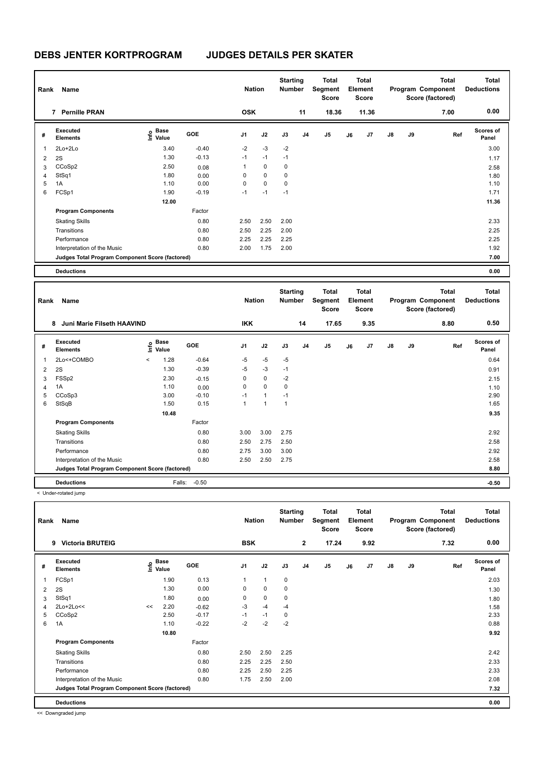| Rank | Name                                            |                                    |         | <b>Nation</b>  |             | <b>Starting</b><br><b>Number</b> |                | Total<br>Segment<br><b>Score</b> |    | <b>Total</b><br>Element<br><b>Score</b> |               |    | <b>Total</b><br>Program Component<br>Score (factored) | Total<br><b>Deductions</b> |
|------|-------------------------------------------------|------------------------------------|---------|----------------|-------------|----------------------------------|----------------|----------------------------------|----|-----------------------------------------|---------------|----|-------------------------------------------------------|----------------------------|
|      | <b>Pernille PRAN</b><br>7                       |                                    |         | <b>OSK</b>     |             |                                  | 11             | 18.36                            |    | 11.36                                   |               |    | 7.00                                                  | 0.00                       |
| #    | Executed<br><b>Elements</b>                     | <b>Base</b><br>$\frac{6}{5}$ Value | GOE     | J <sub>1</sub> | J2          | J3                               | J <sub>4</sub> | J <sub>5</sub>                   | J6 | J7                                      | $\mathsf{J}8$ | J9 | Ref                                                   | <b>Scores of</b><br>Panel  |
| 1    | 2Lo+2Lo                                         | 3.40                               | $-0.40$ | $-2$           | $-3$        | $-2$                             |                |                                  |    |                                         |               |    |                                                       | 3.00                       |
| 2    | 2S                                              | 1.30                               | $-0.13$ | $-1$           | $-1$        | $-1$                             |                |                                  |    |                                         |               |    |                                                       | 1.17                       |
| 3    | CCoSp2                                          | 2.50                               | 0.08    | 1              | $\mathbf 0$ | 0                                |                |                                  |    |                                         |               |    |                                                       | 2.58                       |
| 4    | StSq1                                           | 1.80                               | 0.00    | 0              | $\mathbf 0$ | 0                                |                |                                  |    |                                         |               |    |                                                       | 1.80                       |
| 5    | 1A                                              | 1.10                               | 0.00    | 0              | $\mathbf 0$ | 0                                |                |                                  |    |                                         |               |    |                                                       | 1.10                       |
| 6    | FCSp1                                           | 1.90                               | $-0.19$ | $-1$           | $-1$        | $-1$                             |                |                                  |    |                                         |               |    |                                                       | 1.71                       |
|      |                                                 | 12.00                              |         |                |             |                                  |                |                                  |    |                                         |               |    |                                                       | 11.36                      |
|      | <b>Program Components</b>                       |                                    | Factor  |                |             |                                  |                |                                  |    |                                         |               |    |                                                       |                            |
|      | <b>Skating Skills</b>                           |                                    | 0.80    | 2.50           | 2.50        | 2.00                             |                |                                  |    |                                         |               |    |                                                       | 2.33                       |
|      | Transitions                                     |                                    | 0.80    | 2.50           | 2.25        | 2.00                             |                |                                  |    |                                         |               |    |                                                       | 2.25                       |
|      | Performance                                     |                                    | 0.80    | 2.25           | 2.25        | 2.25                             |                |                                  |    |                                         |               |    |                                                       | 2.25                       |
|      | Interpretation of the Music                     |                                    | 0.80    | 2.00           | 1.75        | 2.00                             |                |                                  |    |                                         |               |    |                                                       | 1.92                       |
|      | Judges Total Program Component Score (factored) |                                    |         |                |             |                                  |                |                                  |    |                                         |               |    |                                                       | 7.00                       |
|      | <b>Deductions</b>                               |                                    |         |                |             |                                  |                |                                  |    |                                         |               |    |                                                       | 0.00                       |

| Rank | Name                                            |         |                      |         |                | <b>Nation</b>  | <b>Starting</b><br><b>Number</b> |                | Total<br>Segment<br><b>Score</b> |    | <b>Total</b><br>Element<br><b>Score</b> |               |    | <b>Total</b><br>Program Component<br>Score (factored) | Total<br><b>Deductions</b> |
|------|-------------------------------------------------|---------|----------------------|---------|----------------|----------------|----------------------------------|----------------|----------------------------------|----|-----------------------------------------|---------------|----|-------------------------------------------------------|----------------------------|
|      | Juni Marie Filseth HAAVIND<br>8                 |         |                      |         | <b>IKK</b>     |                |                                  | 14             | 17.65                            |    | 9.35                                    |               |    | 8.80                                                  | 0.50                       |
| #    | Executed<br><b>Elements</b>                     | lnfo    | <b>Base</b><br>Value | GOE     | J <sub>1</sub> | J2             | J3                               | J <sub>4</sub> | J5                               | J6 | J <sub>7</sub>                          | $\mathsf{J}8$ | J9 | Ref                                                   | <b>Scores of</b><br>Panel  |
| 1    | 2Lo<+COMBO                                      | $\prec$ | 1.28                 | $-0.64$ | $-5$           | $-5$           | $-5$                             |                |                                  |    |                                         |               |    |                                                       | 0.64                       |
| 2    | 2S                                              |         | 1.30                 | $-0.39$ | $-5$           | $-3$           | $-1$                             |                |                                  |    |                                         |               |    |                                                       | 0.91                       |
| 3    | FSSp2                                           |         | 2.30                 | $-0.15$ | 0              | $\mathbf 0$    | $-2$                             |                |                                  |    |                                         |               |    |                                                       | 2.15                       |
| 4    | 1A                                              |         | 1.10                 | 0.00    | 0              | $\mathbf 0$    | 0                                |                |                                  |    |                                         |               |    |                                                       | 1.10                       |
| 5    | CCoSp3                                          |         | 3.00                 | $-0.10$ | $-1$           | 1              | $-1$                             |                |                                  |    |                                         |               |    |                                                       | 2.90                       |
| 6    | StSqB                                           |         | 1.50                 | 0.15    | 1              | $\overline{1}$ | $\mathbf{1}$                     |                |                                  |    |                                         |               |    |                                                       | 1.65                       |
|      |                                                 |         | 10.48                |         |                |                |                                  |                |                                  |    |                                         |               |    |                                                       | 9.35                       |
|      | <b>Program Components</b>                       |         |                      | Factor  |                |                |                                  |                |                                  |    |                                         |               |    |                                                       |                            |
|      | <b>Skating Skills</b>                           |         |                      | 0.80    | 3.00           | 3.00           | 2.75                             |                |                                  |    |                                         |               |    |                                                       | 2.92                       |
|      | Transitions                                     |         |                      | 0.80    | 2.50           | 2.75           | 2.50                             |                |                                  |    |                                         |               |    |                                                       | 2.58                       |
|      | Performance                                     |         |                      | 0.80    | 2.75           | 3.00           | 3.00                             |                |                                  |    |                                         |               |    |                                                       | 2.92                       |
|      | Interpretation of the Music                     |         |                      | 0.80    | 2.50           | 2.50           | 2.75                             |                |                                  |    |                                         |               |    |                                                       | 2.58                       |
|      | Judges Total Program Component Score (factored) |         |                      |         |                |                |                                  |                |                                  |    |                                         |               |    |                                                       | 8.80                       |
|      | <b>Deductions</b>                               |         | Falls:               | $-0.50$ |                |                |                                  |                |                                  |    |                                         |               |    |                                                       | $-0.50$                    |

< Under-rotated jump

| Rank           | Name                                            |    |                                  |            | <b>Nation</b>  |              | <b>Starting</b><br><b>Number</b> |                | Total<br>Segment<br><b>Score</b> |    | Total<br>Element<br><b>Score</b> |               |    | <b>Total</b><br>Program Component<br>Score (factored) | Total<br><b>Deductions</b> |
|----------------|-------------------------------------------------|----|----------------------------------|------------|----------------|--------------|----------------------------------|----------------|----------------------------------|----|----------------------------------|---------------|----|-------------------------------------------------------|----------------------------|
|                | <b>Victoria BRUTEIG</b><br>9                    |    |                                  |            | <b>BSK</b>     |              |                                  | $\mathbf{2}$   | 17.24                            |    | 9.92                             |               |    | 7.32                                                  | 0.00                       |
| #              | Executed<br><b>Elements</b>                     |    | <b>Base</b><br>e Base<br>E Value | <b>GOE</b> | J <sub>1</sub> | J2           | J3                               | J <sub>4</sub> | J <sub>5</sub>                   | J6 | J7                               | $\mathsf{J}8$ | J9 | Ref                                                   | <b>Scores of</b><br>Panel  |
| 1              | FCSp1                                           |    | 1.90                             | 0.13       | 1              | $\mathbf{1}$ | $\mathbf 0$                      |                |                                  |    |                                  |               |    |                                                       | 2.03                       |
| $\overline{2}$ | 2S                                              |    | 1.30                             | 0.00       | 0              | 0            | 0                                |                |                                  |    |                                  |               |    |                                                       | 1.30                       |
| 3              | StSq1                                           |    | 1.80                             | 0.00       | 0              | $\mathbf 0$  | 0                                |                |                                  |    |                                  |               |    |                                                       | 1.80                       |
| $\overline{4}$ | 2Lo+2Lo<<                                       | << | 2.20                             | $-0.62$    | $-3$           | $-4$         | $-4$                             |                |                                  |    |                                  |               |    |                                                       | 1.58                       |
| 5              | CCoSp2                                          |    | 2.50                             | $-0.17$    | $-1$           | $-1$         | 0                                |                |                                  |    |                                  |               |    |                                                       | 2.33                       |
| 6              | 1A                                              |    | 1.10                             | $-0.22$    | $-2$           | $-2$         | $-2$                             |                |                                  |    |                                  |               |    |                                                       | 0.88                       |
|                |                                                 |    | 10.80                            |            |                |              |                                  |                |                                  |    |                                  |               |    |                                                       | 9.92                       |
|                | <b>Program Components</b>                       |    |                                  | Factor     |                |              |                                  |                |                                  |    |                                  |               |    |                                                       |                            |
|                | <b>Skating Skills</b>                           |    |                                  | 0.80       | 2.50           | 2.50         | 2.25                             |                |                                  |    |                                  |               |    |                                                       | 2.42                       |
|                | Transitions                                     |    |                                  | 0.80       | 2.25           | 2.25         | 2.50                             |                |                                  |    |                                  |               |    |                                                       | 2.33                       |
|                | Performance                                     |    |                                  | 0.80       | 2.25           | 2.50         | 2.25                             |                |                                  |    |                                  |               |    |                                                       | 2.33                       |
|                | Interpretation of the Music                     |    |                                  | 0.80       | 1.75           | 2.50         | 2.00                             |                |                                  |    |                                  |               |    |                                                       | 2.08                       |
|                | Judges Total Program Component Score (factored) |    |                                  |            |                |              |                                  |                |                                  |    |                                  |               |    |                                                       | 7.32                       |
|                | <b>Deductions</b>                               |    |                                  |            |                |              |                                  |                |                                  |    |                                  |               |    |                                                       | 0.00                       |

<< Downgraded jump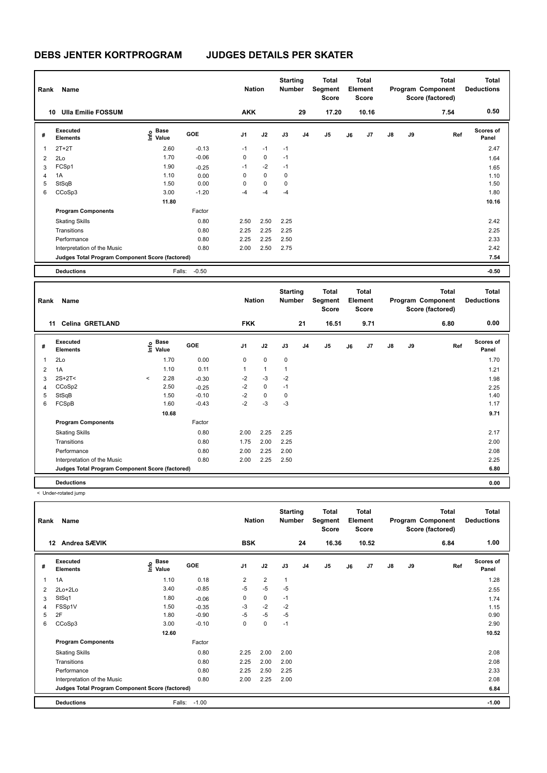| Rank | Name                                            |                                  |            | <b>Nation</b>  |             | <b>Starting</b><br><b>Number</b> |                | <b>Total</b><br>Segment<br>Score |    | Total<br>Element<br><b>Score</b> |               |    | <b>Total</b><br>Program Component<br>Score (factored) | <b>Total</b><br><b>Deductions</b> |
|------|-------------------------------------------------|----------------------------------|------------|----------------|-------------|----------------------------------|----------------|----------------------------------|----|----------------------------------|---------------|----|-------------------------------------------------------|-----------------------------------|
|      | <b>Ulla Emilie FOSSUM</b><br>10                 |                                  |            | <b>AKK</b>     |             |                                  | 29             | 17.20                            |    | 10.16                            |               |    | 7.54                                                  | 0.50                              |
| #    | Executed<br><b>Elements</b>                     | <b>Base</b><br>e Base<br>⊆ Value | <b>GOE</b> | J <sub>1</sub> | J2          | J3                               | J <sub>4</sub> | J <sub>5</sub>                   | J6 | J <sub>7</sub>                   | $\mathsf{J}8$ | J9 | Ref                                                   | <b>Scores of</b><br>Panel         |
| 1    | $2T+2T$                                         | 2.60                             | $-0.13$    | $-1$           | $-1$        | $-1$                             |                |                                  |    |                                  |               |    |                                                       | 2.47                              |
| 2    | 2Lo                                             | 1.70                             | $-0.06$    | 0              | $\mathbf 0$ | $-1$                             |                |                                  |    |                                  |               |    |                                                       | 1.64                              |
| 3    | FCSp1                                           | 1.90                             | $-0.25$    | $-1$           | $-2$        | $-1$                             |                |                                  |    |                                  |               |    |                                                       | 1.65                              |
| 4    | 1A                                              | 1.10                             | 0.00       | 0              | 0           | 0                                |                |                                  |    |                                  |               |    |                                                       | 1.10                              |
| 5    | StSqB                                           | 1.50                             | 0.00       | 0              | $\mathbf 0$ | 0                                |                |                                  |    |                                  |               |    |                                                       | 1.50                              |
| 6    | CCoSp3                                          | 3.00                             | $-1.20$    | $-4$           | $-4$        | $-4$                             |                |                                  |    |                                  |               |    |                                                       | 1.80                              |
|      |                                                 | 11.80                            |            |                |             |                                  |                |                                  |    |                                  |               |    |                                                       | 10.16                             |
|      | <b>Program Components</b>                       |                                  | Factor     |                |             |                                  |                |                                  |    |                                  |               |    |                                                       |                                   |
|      | <b>Skating Skills</b>                           |                                  | 0.80       | 2.50           | 2.50        | 2.25                             |                |                                  |    |                                  |               |    |                                                       | 2.42                              |
|      | Transitions                                     |                                  | 0.80       | 2.25           | 2.25        | 2.25                             |                |                                  |    |                                  |               |    |                                                       | 2.25                              |
|      | Performance                                     |                                  | 0.80       | 2.25           | 2.25        | 2.50                             |                |                                  |    |                                  |               |    |                                                       | 2.33                              |
|      | Interpretation of the Music                     |                                  | 0.80       | 2.00           | 2.50        | 2.75                             |                |                                  |    |                                  |               |    |                                                       | 2.42                              |
|      | Judges Total Program Component Score (factored) |                                  |            |                |             |                                  |                |                                  |    |                                  |               |    |                                                       | 7.54                              |
|      | <b>Deductions</b>                               | Falls:                           | $-0.50$    |                |             |                                  |                |                                  |    |                                  |               |    |                                                       | $-0.50$                           |

**Total Deductions Total Program Component Score (factored) Total Element Segment Score Total Score Starting Rank Name Number Number Number Number Number # Executed Elements Base Value GOE J1 J2 J3 J4 J5 J6 J7 J8 J9 Scores of Panel** 1 1.70 0.00 0 0 0 **Ref**  2Lo 1.70 **Info 11 Celina GRETLAND FKK 21 16.51 9.71 6.80 0.00** 2 1A 1.10 0.11 1 1 1 1 21  $3 \quad 2$ S+2T<  $\leq$  2.28  $-0.30$   $-2$   $-3$   $-2$ 4 CCoSp2 2.50 -0.25 -2 0 -1 2.25 5 StSqB 1.50 -0.10 -2 0 0 1.40 6 FCSpB 1.60 -0.43 -2 -3 -3 1.17  **10.68 9.71 Program Components**  Skating Skills 2.00 2.25 2.25 Factor 0.80 2.17 Transitions 0.80 1.75 2.00 2.25 2.00 Performance 0.80 2.00 2.25 2.00 2.08 Interpretation of the Music 0.80 2.00 2.25 2.50 2.25 **Deductions 0.00 Judges Total Program Component Score (factored) 6.80**

| Rank | Name                                            |                                    |            | <b>Nation</b>  |                | <b>Starting</b><br><b>Number</b> |                | <b>Total</b><br>Segment<br><b>Score</b> |    | <b>Total</b><br>Element<br><b>Score</b> |               |    | <b>Total</b><br>Program Component<br>Score (factored) | Total<br><b>Deductions</b> |
|------|-------------------------------------------------|------------------------------------|------------|----------------|----------------|----------------------------------|----------------|-----------------------------------------|----|-----------------------------------------|---------------|----|-------------------------------------------------------|----------------------------|
|      | Andrea SÆVIK<br>$12 \,$                         |                                    |            | <b>BSK</b>     |                |                                  | 24             | 16.36                                   |    | 10.52                                   |               |    | 6.84                                                  | 1.00                       |
| #    | Executed<br><b>Elements</b>                     | <b>Base</b><br>$\frac{6}{5}$ Value | <b>GOE</b> | J <sub>1</sub> | J2             | J3                               | J <sub>4</sub> | J5                                      | J6 | J <sub>7</sub>                          | $\mathsf{J}8$ | J9 | Ref                                                   | <b>Scores of</b><br>Panel  |
| 1    | 1A                                              | 1.10                               | 0.18       | $\overline{2}$ | $\overline{2}$ | $\mathbf{1}$                     |                |                                         |    |                                         |               |    |                                                       | 1.28                       |
| 2    | 2Lo+2Lo                                         | 3.40                               | $-0.85$    | $-5$           | $-5$           | $-5$                             |                |                                         |    |                                         |               |    |                                                       | 2.55                       |
| 3    | StSq1                                           | 1.80                               | $-0.06$    | 0              | $\mathbf 0$    | $-1$                             |                |                                         |    |                                         |               |    |                                                       | 1.74                       |
| 4    | FSSp1V                                          | 1.50                               | $-0.35$    | $-3$           | $-2$           | $-2$                             |                |                                         |    |                                         |               |    |                                                       | 1.15                       |
| 5    | 2F                                              | 1.80                               | $-0.90$    | $-5$           | $-5$           | $-5$                             |                |                                         |    |                                         |               |    |                                                       | 0.90                       |
| 6    | CCoSp3                                          | 3.00                               | $-0.10$    | 0              | 0              | $-1$                             |                |                                         |    |                                         |               |    |                                                       | 2.90                       |
|      |                                                 | 12.60                              |            |                |                |                                  |                |                                         |    |                                         |               |    |                                                       | 10.52                      |
|      | <b>Program Components</b>                       |                                    | Factor     |                |                |                                  |                |                                         |    |                                         |               |    |                                                       |                            |
|      | <b>Skating Skills</b>                           |                                    | 0.80       | 2.25           | 2.00           | 2.00                             |                |                                         |    |                                         |               |    |                                                       | 2.08                       |
|      | Transitions                                     |                                    | 0.80       | 2.25           | 2.00           | 2.00                             |                |                                         |    |                                         |               |    |                                                       | 2.08                       |
|      | Performance                                     |                                    | 0.80       | 2.25           | 2.50           | 2.25                             |                |                                         |    |                                         |               |    |                                                       | 2.33                       |
|      | Interpretation of the Music                     |                                    | 0.80       | 2.00           | 2.25           | 2.00                             |                |                                         |    |                                         |               |    |                                                       | 2.08                       |
|      | Judges Total Program Component Score (factored) |                                    |            |                |                |                                  |                |                                         |    |                                         |               |    |                                                       | 6.84                       |
|      | <b>Deductions</b>                               | Falls:                             | $-1.00$    |                |                |                                  |                |                                         |    |                                         |               |    |                                                       | $-1.00$                    |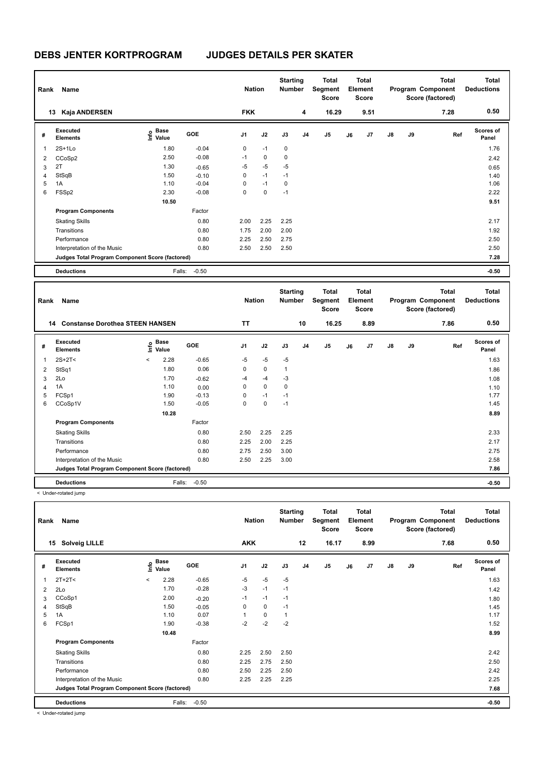| Rank | Name                                            |                                             |            | <b>Nation</b>  |      | <b>Starting</b><br><b>Number</b> |                | <b>Total</b><br>Segment<br><b>Score</b> |    | <b>Total</b><br>Element<br><b>Score</b> |               |    | <b>Total</b><br>Program Component<br>Score (factored) | <b>Total</b><br><b>Deductions</b> |
|------|-------------------------------------------------|---------------------------------------------|------------|----------------|------|----------------------------------|----------------|-----------------------------------------|----|-----------------------------------------|---------------|----|-------------------------------------------------------|-----------------------------------|
| 13   | Kaja ANDERSEN                                   |                                             |            | <b>FKK</b>     |      |                                  | 4              | 16.29                                   |    | 9.51                                    |               |    | 7.28                                                  | 0.50                              |
| #    | <b>Executed</b><br><b>Elements</b>              | <b>Base</b><br>e <sup>Base</sup><br>⊆ Value | <b>GOE</b> | J <sub>1</sub> | J2   | J3                               | J <sub>4</sub> | J5                                      | J6 | J7                                      | $\mathsf{J}8$ | J9 | Ref                                                   | <b>Scores of</b><br>Panel         |
| 1    | $2S+1Lo$                                        | 1.80                                        | $-0.04$    | $\mathbf 0$    | $-1$ | $\mathbf 0$                      |                |                                         |    |                                         |               |    |                                                       | 1.76                              |
| 2    | CCoSp2                                          | 2.50                                        | $-0.08$    | $-1$           | 0    | 0                                |                |                                         |    |                                         |               |    |                                                       | 2.42                              |
| 3    | 2T                                              | 1.30                                        | $-0.65$    | -5             | $-5$ | $-5$                             |                |                                         |    |                                         |               |    |                                                       | 0.65                              |
| 4    | StSqB                                           | 1.50                                        | $-0.10$    | 0              | $-1$ | $-1$                             |                |                                         |    |                                         |               |    |                                                       | 1.40                              |
| 5    | 1A                                              | 1.10                                        | $-0.04$    | 0              | $-1$ | 0                                |                |                                         |    |                                         |               |    |                                                       | 1.06                              |
| 6    | FSSp2                                           | 2.30                                        | $-0.08$    | 0              | 0    | $-1$                             |                |                                         |    |                                         |               |    |                                                       | 2.22                              |
|      |                                                 | 10.50                                       |            |                |      |                                  |                |                                         |    |                                         |               |    |                                                       | 9.51                              |
|      | <b>Program Components</b>                       |                                             | Factor     |                |      |                                  |                |                                         |    |                                         |               |    |                                                       |                                   |
|      | <b>Skating Skills</b>                           |                                             | 0.80       | 2.00           | 2.25 | 2.25                             |                |                                         |    |                                         |               |    |                                                       | 2.17                              |
|      | Transitions                                     |                                             | 0.80       | 1.75           | 2.00 | 2.00                             |                |                                         |    |                                         |               |    |                                                       | 1.92                              |
|      | Performance                                     |                                             | 0.80       | 2.25           | 2.50 | 2.75                             |                |                                         |    |                                         |               |    |                                                       | 2.50                              |
|      | Interpretation of the Music                     |                                             | 0.80       | 2.50           | 2.50 | 2.50                             |                |                                         |    |                                         |               |    |                                                       | 2.50                              |
|      | Judges Total Program Component Score (factored) |                                             |            |                |      |                                  |                |                                         |    |                                         |               |    |                                                       | 7.28                              |
|      | <b>Deductions</b>                               | Falls:                                      | $-0.50$    |                |      |                                  |                |                                         |    |                                         |               |    |                                                       | $-0.50$                           |

| Rank | Name                                            |         |                                  |            | <b>Nation</b>  |             | <b>Starting</b><br><b>Number</b> |    | <b>Total</b><br>Segment<br>Score |    | Total<br>Element<br><b>Score</b> |               |    | <b>Total</b><br>Program Component<br>Score (factored) | <b>Total</b><br><b>Deductions</b> |
|------|-------------------------------------------------|---------|----------------------------------|------------|----------------|-------------|----------------------------------|----|----------------------------------|----|----------------------------------|---------------|----|-------------------------------------------------------|-----------------------------------|
|      | <b>Constanse Dorothea STEEN HANSEN</b><br>14    |         |                                  |            | TΤ             |             |                                  | 10 | 16.25                            |    | 8.89                             |               |    | 7.86                                                  | 0.50                              |
| #    | Executed<br><b>Elements</b>                     |         | <b>Base</b><br>e Base<br>⊆ Value | <b>GOE</b> | J <sub>1</sub> | J2          | J3                               | J4 | J <sub>5</sub>                   | J6 | J <sub>7</sub>                   | $\mathsf{J}8$ | J9 | Ref                                                   | <b>Scores of</b><br>Panel         |
| 1    | $2S+2T2$                                        | $\prec$ | 2.28                             | $-0.65$    | $-5$           | $-5$        | $-5$                             |    |                                  |    |                                  |               |    |                                                       | 1.63                              |
| 2    | StSq1                                           |         | 1.80                             | 0.06       | 0              | $\mathbf 0$ | 1                                |    |                                  |    |                                  |               |    |                                                       | 1.86                              |
| 3    | 2Lo                                             |         | 1.70                             | $-0.62$    | $-4$           | $-4$        | $-3$                             |    |                                  |    |                                  |               |    |                                                       | 1.08                              |
| 4    | 1A                                              |         | 1.10                             | 0.00       | 0              | $\mathbf 0$ | 0                                |    |                                  |    |                                  |               |    |                                                       | 1.10                              |
| 5    | FCSp1                                           |         | 1.90                             | $-0.13$    | 0              | $-1$        | $-1$                             |    |                                  |    |                                  |               |    |                                                       | 1.77                              |
| 6    | CCoSp1V                                         |         | 1.50                             | $-0.05$    | 0              | $\mathbf 0$ | $-1$                             |    |                                  |    |                                  |               |    |                                                       | 1.45                              |
|      |                                                 |         | 10.28                            |            |                |             |                                  |    |                                  |    |                                  |               |    |                                                       | 8.89                              |
|      | <b>Program Components</b>                       |         |                                  | Factor     |                |             |                                  |    |                                  |    |                                  |               |    |                                                       |                                   |
|      | <b>Skating Skills</b>                           |         |                                  | 0.80       | 2.50           | 2.25        | 2.25                             |    |                                  |    |                                  |               |    |                                                       | 2.33                              |
|      | Transitions                                     |         |                                  | 0.80       | 2.25           | 2.00        | 2.25                             |    |                                  |    |                                  |               |    |                                                       | 2.17                              |
|      | Performance                                     |         |                                  | 0.80       | 2.75           | 2.50        | 3.00                             |    |                                  |    |                                  |               |    |                                                       | 2.75                              |
|      | Interpretation of the Music                     |         |                                  | 0.80       | 2.50           | 2.25        | 3.00                             |    |                                  |    |                                  |               |    |                                                       | 2.58                              |
|      | Judges Total Program Component Score (factored) |         |                                  |            |                |             |                                  |    |                                  |    |                                  |               |    |                                                       | 7.86                              |
|      | <b>Deductions</b>                               |         | Falls:                           | $-0.50$    |                |             |                                  |    |                                  |    |                                  |               |    |                                                       | $-0.50$                           |

< Under-rotated jump

| Rank           | Name                                            |         | <b>Nation</b>        |            | <b>Starting</b><br><b>Number</b> |             | <b>Total</b><br>Segment<br><b>Score</b> |                | <b>Total</b><br>Element<br><b>Score</b> |    |      | Total<br>Program Component<br>Score (factored) | <b>Total</b><br><b>Deductions</b> |      |                           |
|----------------|-------------------------------------------------|---------|----------------------|------------|----------------------------------|-------------|-----------------------------------------|----------------|-----------------------------------------|----|------|------------------------------------------------|-----------------------------------|------|---------------------------|
|                | <b>Solveig LILLE</b><br>15                      |         |                      |            | <b>AKK</b>                       |             |                                         | 12             | 16.17                                   |    | 8.99 |                                                |                                   | 7.68 | 0.50                      |
| #              | Executed<br><b>Elements</b>                     | lnfo    | <b>Base</b><br>Value | <b>GOE</b> | J <sub>1</sub>                   | J2          | J3                                      | J <sub>4</sub> | J <sub>5</sub>                          | J6 | J7   | $\mathsf{J}8$                                  | J9                                | Ref  | <b>Scores of</b><br>Panel |
| 1              | $2T+2T2$                                        | $\prec$ | 2.28                 | $-0.65$    | $-5$                             | $-5$        | $-5$                                    |                |                                         |    |      |                                                |                                   |      | 1.63                      |
| $\overline{2}$ | 2Lo                                             |         | 1.70                 | $-0.28$    | $-3$                             | $-1$        | $-1$                                    |                |                                         |    |      |                                                |                                   |      | 1.42                      |
| 3              | CCoSp1                                          |         | 2.00                 | $-0.20$    | $-1$                             | $-1$        | $-1$                                    |                |                                         |    |      |                                                |                                   |      | 1.80                      |
| 4              | StSqB                                           |         | 1.50                 | $-0.05$    | 0                                | 0           | $-1$                                    |                |                                         |    |      |                                                |                                   |      | 1.45                      |
| 5              | 1A                                              |         | 1.10                 | 0.07       | 1                                | $\mathbf 0$ | $\mathbf{1}$                            |                |                                         |    |      |                                                |                                   |      | 1.17                      |
| 6              | FCSp1                                           |         | 1.90                 | $-0.38$    | $-2$                             | $-2$        | $-2$                                    |                |                                         |    |      |                                                |                                   |      | 1.52                      |
|                |                                                 |         | 10.48                |            |                                  |             |                                         |                |                                         |    |      |                                                |                                   |      | 8.99                      |
|                | <b>Program Components</b>                       |         |                      | Factor     |                                  |             |                                         |                |                                         |    |      |                                                |                                   |      |                           |
|                | <b>Skating Skills</b>                           |         |                      | 0.80       | 2.25                             | 2.50        | 2.50                                    |                |                                         |    |      |                                                |                                   |      | 2.42                      |
|                | Transitions                                     |         |                      | 0.80       | 2.25                             | 2.75        | 2.50                                    |                |                                         |    |      |                                                |                                   |      | 2.50                      |
|                | Performance                                     |         |                      | 0.80       | 2.50                             | 2.25        | 2.50                                    |                |                                         |    |      |                                                |                                   |      | 2.42                      |
|                | Interpretation of the Music                     |         |                      | 0.80       | 2.25                             | 2.25        | 2.25                                    |                |                                         |    |      |                                                |                                   |      | 2.25                      |
|                | Judges Total Program Component Score (factored) |         |                      |            |                                  |             |                                         |                |                                         |    |      |                                                |                                   |      | 7.68                      |
|                | <b>Deductions</b>                               |         | Falls:               | $-0.50$    |                                  |             |                                         |                |                                         |    |      |                                                |                                   |      | $-0.50$                   |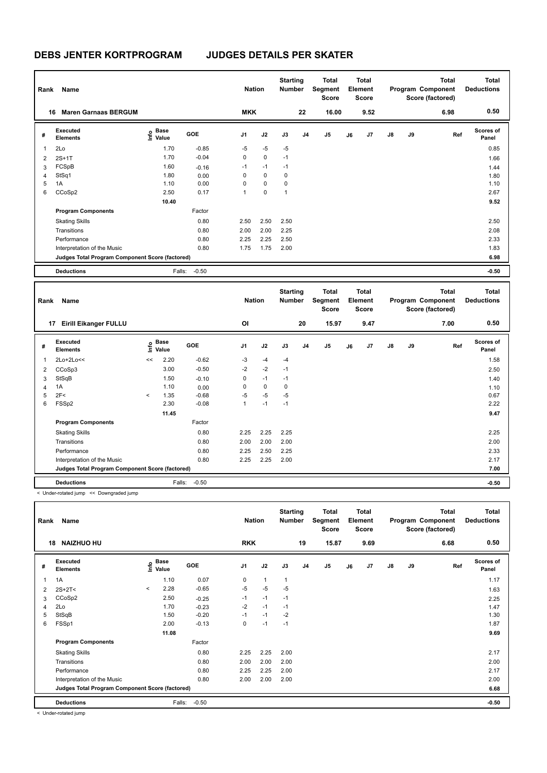| Rank | Name                                            |                                  |            | <b>Nation</b>  |             | <b>Starting</b><br><b>Number</b> |                | <b>Total</b><br>Segment<br><b>Score</b> |    | <b>Total</b><br>Element<br><b>Score</b> |               |    | <b>Total</b><br>Program Component<br>Score (factored) | <b>Total</b><br><b>Deductions</b> |
|------|-------------------------------------------------|----------------------------------|------------|----------------|-------------|----------------------------------|----------------|-----------------------------------------|----|-----------------------------------------|---------------|----|-------------------------------------------------------|-----------------------------------|
|      | <b>Maren Garnaas BERGUM</b><br>16               |                                  |            | <b>MKK</b>     |             |                                  | 22             | 16.00                                   |    | 9.52                                    |               |    | 6.98                                                  | 0.50                              |
| #    | <b>Executed</b><br><b>Elements</b>              | <b>Base</b><br>e Base<br>⊆ Value | <b>GOE</b> | J <sub>1</sub> | J2          | J3                               | J <sub>4</sub> | J <sub>5</sub>                          | J6 | J7                                      | $\mathsf{J}8$ | J9 | Ref                                                   | <b>Scores of</b><br>Panel         |
| 1    | 2Lo                                             | 1.70                             | $-0.85$    | $-5$           | $-5$        | $-5$                             |                |                                         |    |                                         |               |    |                                                       | 0.85                              |
| 2    | $2S+1T$                                         | 1.70                             | $-0.04$    | 0              | $\mathbf 0$ | $-1$                             |                |                                         |    |                                         |               |    |                                                       | 1.66                              |
| 3    | FCSpB                                           | 1.60                             | $-0.16$    | $-1$           | $-1$        | $-1$                             |                |                                         |    |                                         |               |    |                                                       | 1.44                              |
| 4    | StSq1                                           | 1.80                             | 0.00       | 0              | $\mathbf 0$ | $\mathbf 0$                      |                |                                         |    |                                         |               |    |                                                       | 1.80                              |
| 5    | 1A                                              | 1.10                             | 0.00       | 0              | $\mathbf 0$ | 0                                |                |                                         |    |                                         |               |    |                                                       | 1.10                              |
| 6    | CCoSp2                                          | 2.50                             | 0.17       | 1              | $\pmb{0}$   | 1                                |                |                                         |    |                                         |               |    |                                                       | 2.67                              |
|      |                                                 | 10.40                            |            |                |             |                                  |                |                                         |    |                                         |               |    |                                                       | 9.52                              |
|      | <b>Program Components</b>                       |                                  | Factor     |                |             |                                  |                |                                         |    |                                         |               |    |                                                       |                                   |
|      | <b>Skating Skills</b>                           |                                  | 0.80       | 2.50           | 2.50        | 2.50                             |                |                                         |    |                                         |               |    |                                                       | 2.50                              |
|      | Transitions                                     |                                  | 0.80       | 2.00           | 2.00        | 2.25                             |                |                                         |    |                                         |               |    |                                                       | 2.08                              |
|      | Performance                                     |                                  | 0.80       | 2.25           | 2.25        | 2.50                             |                |                                         |    |                                         |               |    |                                                       | 2.33                              |
|      | Interpretation of the Music                     |                                  | 0.80       | 1.75           | 1.75        | 2.00                             |                |                                         |    |                                         |               |    |                                                       | 1.83                              |
|      | Judges Total Program Component Score (factored) |                                  |            |                |             |                                  |                |                                         |    |                                         |               |    |                                                       | 6.98                              |
|      | <b>Deductions</b>                               | Falls:                           | $-0.50$    |                |             |                                  |                |                                         |    |                                         |               |    |                                                       | $-0.50$                           |

| Rank           | Name                                            |         |                                  |            | <b>Nation</b>  |             | <b>Starting</b><br><b>Number</b> |                | Total<br>Segment<br><b>Score</b> |    | <b>Total</b><br>Element<br><b>Score</b> |               |    | <b>Total</b><br>Program Component<br>Score (factored) | <b>Total</b><br><b>Deductions</b> |
|----------------|-------------------------------------------------|---------|----------------------------------|------------|----------------|-------------|----------------------------------|----------------|----------------------------------|----|-----------------------------------------|---------------|----|-------------------------------------------------------|-----------------------------------|
| 17             | <b>Eirill Eikanger FULLU</b>                    |         |                                  |            | <b>OI</b>      |             |                                  | 20             | 15.97                            |    | 9.47                                    |               |    | 7.00                                                  | 0.50                              |
| #              | Executed<br><b>Elements</b>                     |         | <b>Base</b><br>e Base<br>⊆ Value | <b>GOE</b> | J <sub>1</sub> | J2          | J3                               | J <sub>4</sub> | J <sub>5</sub>                   | J6 | J7                                      | $\mathsf{J}8$ | J9 | Ref                                                   | <b>Scores of</b><br>Panel         |
| $\mathbf{1}$   | 2Lo+2Lo<<                                       | <<      | 2.20                             | $-0.62$    | $-3$           | $-4$        | $-4$                             |                |                                  |    |                                         |               |    |                                                       | 1.58                              |
| 2              | CCoSp3                                          |         | 3.00                             | $-0.50$    | $-2$           | $-2$        | $-1$                             |                |                                  |    |                                         |               |    |                                                       | 2.50                              |
| 3              | StSqB                                           |         | 1.50                             | $-0.10$    | 0              | $-1$        | $-1$                             |                |                                  |    |                                         |               |    |                                                       | 1.40                              |
| $\overline{4}$ | 1A                                              |         | 1.10                             | 0.00       | 0              | $\mathbf 0$ | 0                                |                |                                  |    |                                         |               |    |                                                       | 1.10                              |
| 5              | 2F<                                             | $\prec$ | 1.35                             | $-0.68$    | $-5$           | $-5$        | $-5$                             |                |                                  |    |                                         |               |    |                                                       | 0.67                              |
| 6              | FSSp2                                           |         | 2.30                             | $-0.08$    | $\mathbf{1}$   | $-1$        | $-1$                             |                |                                  |    |                                         |               |    |                                                       | 2.22                              |
|                |                                                 |         | 11.45                            |            |                |             |                                  |                |                                  |    |                                         |               |    |                                                       | 9.47                              |
|                | <b>Program Components</b>                       |         |                                  | Factor     |                |             |                                  |                |                                  |    |                                         |               |    |                                                       |                                   |
|                | <b>Skating Skills</b>                           |         |                                  | 0.80       | 2.25           | 2.25        | 2.25                             |                |                                  |    |                                         |               |    |                                                       | 2.25                              |
|                | Transitions                                     |         |                                  | 0.80       | 2.00           | 2.00        | 2.00                             |                |                                  |    |                                         |               |    |                                                       | 2.00                              |
|                | Performance                                     |         |                                  | 0.80       | 2.25           | 2.50        | 2.25                             |                |                                  |    |                                         |               |    |                                                       | 2.33                              |
|                | Interpretation of the Music                     |         |                                  | 0.80       | 2.25           | 2.25        | 2.00                             |                |                                  |    |                                         |               |    |                                                       | 2.17                              |
|                | Judges Total Program Component Score (factored) |         |                                  |            |                |             |                                  |                |                                  |    |                                         |               |    |                                                       | 7.00                              |
|                | <b>Deductions</b>                               |         | Falls:                           | $-0.50$    |                |             |                                  |                |                                  |    |                                         |               |    |                                                       | $-0.50$                           |

< Under-rotated jump << Downgraded jump

**Total Deductions Total Program Component Score (factored) Total Element Score Total Segment Score Starting Rank Name Nation Number # Executed Elements Base Value GOE J1 J2 J3 J4 J5 J6 J7 J8 J9 Scores of Panel** 1 1A 1.10 0.07 0 1 1 **Ref**  المساحة المساحة المساحة المساحة المساحة المساحة المساحة المساحة المساحة المساحة المساحة المساحة المساحة المساح<br>1A 1.17 1.10 0.07 0 1 1  **18 NAIZHUO HU RKK 19 15.87 9.69 6.68 0.50** 2 2S+2T< < 2.28 -0.65 -5 -5 -5 1.63 3 CCoSp2 2.50 -0.25 -1 -1 -1 2.25 4 2Lo 1.70 -0.23 -2 -1 -1 1.47 5 StSqB 1.50 -0.20 -1 -1 -2 1.30 6 FSSp1 2.00 -0.13 0 -1 -1 1.87 **11.08 9.69 Program Components**  Skating Skills 2.25 2.25 2.00 0.80 2.17 Factor Transitions 0.80 2.00 2.00 2.00 2.00 Performance 0.80 2.25 2.25 2.00 2.17 Interpretation of the Music 0.80 2.00 2.00 2.00 2.00 **Deductions** Falls: -0.50 **-0.50 Judges Total Program Component Score (factored) 6.68**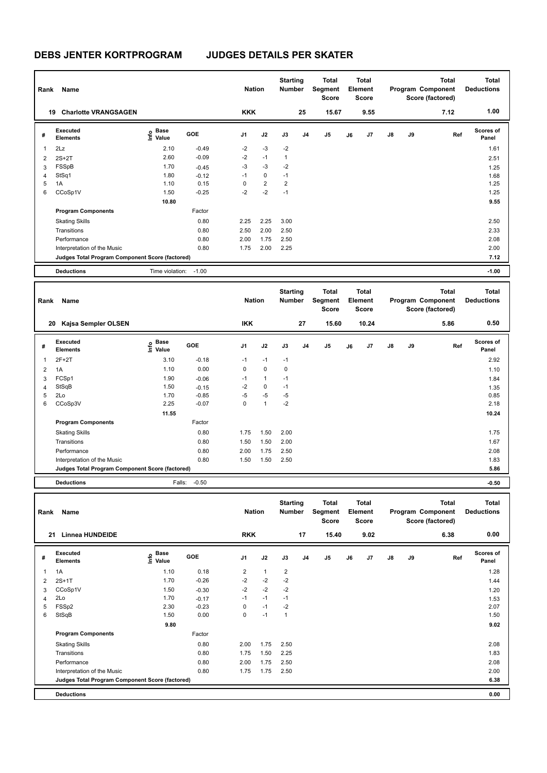| Rank           | Name                                            |                                  |            | <b>Nation</b>  |                | <b>Starting</b><br><b>Number</b> |                | Total<br>Segment<br><b>Score</b> |    | <b>Total</b><br>Element<br><b>Score</b> |               |    | Total<br>Program Component<br>Score (factored) | Total<br><b>Deductions</b> |
|----------------|-------------------------------------------------|----------------------------------|------------|----------------|----------------|----------------------------------|----------------|----------------------------------|----|-----------------------------------------|---------------|----|------------------------------------------------|----------------------------|
| 19             | <b>Charlotte VRANGSAGEN</b>                     |                                  |            | <b>KKK</b>     |                |                                  | 25             | 15.67                            |    | 9.55                                    |               |    | 7.12                                           | 1.00                       |
| #              | Executed<br><b>Elements</b>                     | <b>Base</b><br>e Base<br>⊆ Value | <b>GOE</b> | J <sub>1</sub> | J2             | J3                               | J <sub>4</sub> | J <sub>5</sub>                   | J6 | J7                                      | $\mathsf{J}8$ | J9 | Ref                                            | Scores of<br>Panel         |
| $\mathbf{1}$   | 2Lz                                             | 2.10                             | $-0.49$    | $-2$           | $-3$           | $-2$                             |                |                                  |    |                                         |               |    |                                                | 1.61                       |
| 2              | $2S+2T$                                         | 2.60                             | $-0.09$    | $-2$           | $-1$           | 1                                |                |                                  |    |                                         |               |    |                                                | 2.51                       |
| 3              | FSSpB                                           | 1.70                             | $-0.45$    | $-3$           | $-3$           | $-2$                             |                |                                  |    |                                         |               |    |                                                | 1.25                       |
| $\overline{4}$ | StSq1                                           | 1.80                             | $-0.12$    | $-1$           | $\mathbf 0$    | $-1$                             |                |                                  |    |                                         |               |    |                                                | 1.68                       |
| 5              | 1A                                              | 1.10                             | 0.15       | 0              | $\overline{2}$ | $\overline{2}$                   |                |                                  |    |                                         |               |    |                                                | 1.25                       |
| 6              | CCoSp1V                                         | 1.50                             | $-0.25$    | $-2$           | $-2$           | $-1$                             |                |                                  |    |                                         |               |    |                                                | 1.25                       |
|                |                                                 | 10.80                            |            |                |                |                                  |                |                                  |    |                                         |               |    |                                                | 9.55                       |
|                | <b>Program Components</b>                       |                                  | Factor     |                |                |                                  |                |                                  |    |                                         |               |    |                                                |                            |
|                | <b>Skating Skills</b>                           |                                  | 0.80       | 2.25           | 2.25           | 3.00                             |                |                                  |    |                                         |               |    |                                                | 2.50                       |
|                | Transitions                                     |                                  | 0.80       | 2.50           | 2.00           | 2.50                             |                |                                  |    |                                         |               |    |                                                | 2.33                       |
|                | Performance                                     |                                  | 0.80       | 2.00           | 1.75           | 2.50                             |                |                                  |    |                                         |               |    |                                                | 2.08                       |
|                | Interpretation of the Music                     |                                  | 0.80       | 1.75           | 2.00           | 2.25                             |                |                                  |    |                                         |               |    |                                                | 2.00                       |
|                | Judges Total Program Component Score (factored) |                                  |            |                |                |                                  |                |                                  |    |                                         |               |    |                                                | 7.12                       |
|                | <b>Deductions</b>                               | Time violation:                  | $-1.00$    |                |                |                                  |                |                                  |    |                                         |               |    |                                                | $-1.00$                    |

| Rank | Name                                            |                                  |            | <b>Nation</b>  |              | <b>Starting</b><br><b>Number</b> |                | Total<br>Segment<br><b>Score</b> |    | <b>Total</b><br>Element<br><b>Score</b> |               |    | <b>Total</b><br>Program Component<br>Score (factored) | Total<br><b>Deductions</b> |
|------|-------------------------------------------------|----------------------------------|------------|----------------|--------------|----------------------------------|----------------|----------------------------------|----|-----------------------------------------|---------------|----|-------------------------------------------------------|----------------------------|
|      | Kajsa Sempler OLSEN<br>20                       |                                  |            | <b>IKK</b>     |              |                                  | 27             | 15.60                            |    | 10.24                                   |               |    | 5.86                                                  | 0.50                       |
| #    | <b>Executed</b><br><b>Elements</b>              | <b>Base</b><br>e Base<br>E Value | <b>GOE</b> | J <sub>1</sub> | J2           | J3                               | J <sub>4</sub> | J5                               | J6 | J7                                      | $\mathsf{J}8$ | J9 | Ref                                                   | <b>Scores of</b><br>Panel  |
| 1    | $2F+2T$                                         | 3.10                             | $-0.18$    | $-1$           | $-1$         | $-1$                             |                |                                  |    |                                         |               |    |                                                       | 2.92                       |
| 2    | 1A                                              | 1.10                             | 0.00       | 0              | $\mathbf 0$  | 0                                |                |                                  |    |                                         |               |    |                                                       | 1.10                       |
| 3    | FCSp1                                           | 1.90                             | $-0.06$    | $-1$           | $\mathbf{1}$ | $-1$                             |                |                                  |    |                                         |               |    |                                                       | 1.84                       |
| 4    | StSqB                                           | 1.50                             | $-0.15$    | $-2$           | $\mathbf 0$  | $-1$                             |                |                                  |    |                                         |               |    |                                                       | 1.35                       |
| 5    | 2Lo                                             | 1.70                             | $-0.85$    | $-5$           | $-5$         | $-5$                             |                |                                  |    |                                         |               |    |                                                       | 0.85                       |
| 6    | CCoSp3V                                         | 2.25                             | $-0.07$    | 0              | 1            | $-2$                             |                |                                  |    |                                         |               |    |                                                       | 2.18                       |
|      |                                                 | 11.55                            |            |                |              |                                  |                |                                  |    |                                         |               |    |                                                       | 10.24                      |
|      | <b>Program Components</b>                       |                                  | Factor     |                |              |                                  |                |                                  |    |                                         |               |    |                                                       |                            |
|      | <b>Skating Skills</b>                           |                                  | 0.80       | 1.75           | 1.50         | 2.00                             |                |                                  |    |                                         |               |    |                                                       | 1.75                       |
|      | Transitions                                     |                                  | 0.80       | 1.50           | 1.50         | 2.00                             |                |                                  |    |                                         |               |    |                                                       | 1.67                       |
|      | Performance                                     |                                  | 0.80       | 2.00           | 1.75         | 2.50                             |                |                                  |    |                                         |               |    |                                                       | 2.08                       |
|      | Interpretation of the Music                     |                                  | 0.80       | 1.50           | 1.50         | 2.50                             |                |                                  |    |                                         |               |    |                                                       | 1.83                       |
|      | Judges Total Program Component Score (factored) |                                  |            |                |              |                                  |                |                                  |    |                                         |               |    |                                                       | 5.86                       |
|      | <b>Deductions</b>                               | Falls:                           | $-0.50$    |                |              |                                  |                |                                  |    |                                         |               |    |                                                       | $-0.50$                    |

| Rank | Name                                            |                             |            | <b>Nation</b>  |              | <b>Starting</b><br><b>Number</b> |                | Total<br>Segment<br><b>Score</b> |    | <b>Total</b><br>Element<br><b>Score</b> |               |           | <b>Total</b><br>Program Component<br>Score (factored) | <b>Total</b><br><b>Deductions</b> |
|------|-------------------------------------------------|-----------------------------|------------|----------------|--------------|----------------------------------|----------------|----------------------------------|----|-----------------------------------------|---------------|-----------|-------------------------------------------------------|-----------------------------------|
| 21   | <b>Linnea HUNDEIDE</b>                          |                             |            | <b>RKK</b>     |              |                                  | 17             | 15.40                            |    | 9.02                                    |               |           | 6.38                                                  | 0.00                              |
| #    | Executed<br><b>Elements</b>                     | Base<br>$\frac{e}{E}$ Value | <b>GOE</b> | J <sub>1</sub> | J2           | J3                               | J <sub>4</sub> | J <sub>5</sub>                   | J6 | J7                                      | $\mathsf{J}8$ | <b>J9</b> | Ref                                                   | <b>Scores of</b><br>Panel         |
| 1    | 1A                                              | 1.10                        | 0.18       | 2              | $\mathbf{1}$ | $\overline{2}$                   |                |                                  |    |                                         |               |           |                                                       | 1.28                              |
| 2    | $2S+1T$                                         | 1.70                        | $-0.26$    | $-2$           | $-2$         | $-2$                             |                |                                  |    |                                         |               |           |                                                       | 1.44                              |
| 3    | CCoSp1V                                         | 1.50                        | $-0.30$    | $-2$           | $-2$         | $-2$                             |                |                                  |    |                                         |               |           |                                                       | 1.20                              |
| 4    | 2Lo                                             | 1.70                        | $-0.17$    | $-1$           | $-1$         | $-1$                             |                |                                  |    |                                         |               |           |                                                       | 1.53                              |
| 5    | FSSp2                                           | 2.30                        | $-0.23$    | 0              | $-1$         | $-2$                             |                |                                  |    |                                         |               |           |                                                       | 2.07                              |
| 6    | StSqB                                           | 1.50                        | 0.00       | 0              | $-1$         | $\mathbf{1}$                     |                |                                  |    |                                         |               |           |                                                       | 1.50                              |
|      |                                                 | 9.80                        |            |                |              |                                  |                |                                  |    |                                         |               |           |                                                       | 9.02                              |
|      | <b>Program Components</b>                       |                             | Factor     |                |              |                                  |                |                                  |    |                                         |               |           |                                                       |                                   |
|      | <b>Skating Skills</b>                           |                             | 0.80       | 2.00           | 1.75         | 2.50                             |                |                                  |    |                                         |               |           |                                                       | 2.08                              |
|      | Transitions                                     |                             | 0.80       | 1.75           | 1.50         | 2.25                             |                |                                  |    |                                         |               |           |                                                       | 1.83                              |
|      | Performance                                     |                             | 0.80       | 2.00           | 1.75         | 2.50                             |                |                                  |    |                                         |               |           |                                                       | 2.08                              |
|      | Interpretation of the Music                     |                             | 0.80       | 1.75           | 1.75         | 2.50                             |                |                                  |    |                                         |               |           |                                                       | 2.00                              |
|      | Judges Total Program Component Score (factored) |                             |            |                |              |                                  |                |                                  |    |                                         |               |           |                                                       | 6.38                              |
|      | <b>Deductions</b>                               |                             |            |                |              |                                  |                |                                  |    |                                         |               |           |                                                       | 0.00                              |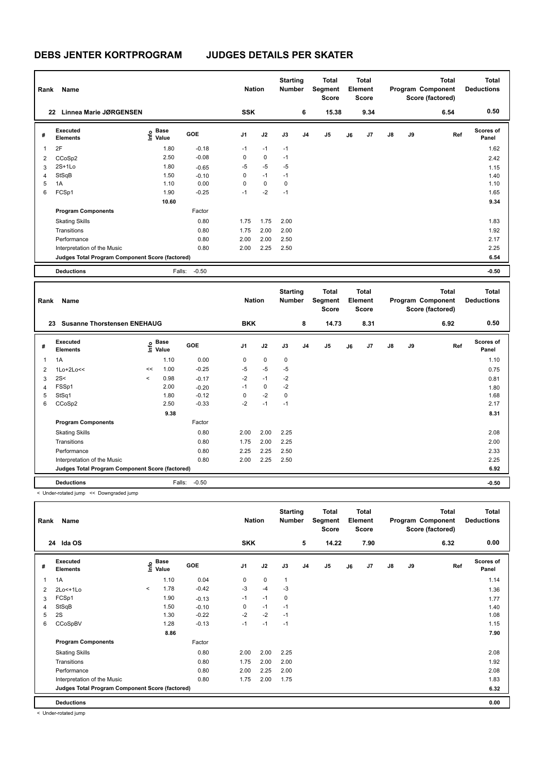| Rank | Name                                            |                                    |         | <b>Nation</b>  |             | <b>Starting</b><br><b>Number</b> |                | <b>Total</b><br>Segment<br><b>Score</b> |    | Total<br>Element<br><b>Score</b> |               |    | <b>Total</b><br>Program Component<br>Score (factored) | <b>Total</b><br><b>Deductions</b> |
|------|-------------------------------------------------|------------------------------------|---------|----------------|-------------|----------------------------------|----------------|-----------------------------------------|----|----------------------------------|---------------|----|-------------------------------------------------------|-----------------------------------|
| 22   | <b>Linnea Marie JØRGENSEN</b>                   |                                    |         | <b>SSK</b>     |             |                                  | 6              | 15.38                                   |    | 9.34                             |               |    | 6.54                                                  | 0.50                              |
| #    | Executed<br><b>Elements</b>                     | <b>Base</b><br>$\frac{6}{5}$ Value | GOE     | J <sub>1</sub> | J2          | J3                               | J <sub>4</sub> | J <sub>5</sub>                          | J6 | J7                               | $\mathsf{J}8$ | J9 | Ref                                                   | <b>Scores of</b><br>Panel         |
|      | 2F                                              | 1.80                               | $-0.18$ | $-1$           | $-1$        | $-1$                             |                |                                         |    |                                  |               |    |                                                       | 1.62                              |
| 2    | CCoSp2                                          | 2.50                               | $-0.08$ | 0              | 0           | $-1$                             |                |                                         |    |                                  |               |    |                                                       | 2.42                              |
| 3    | $2S+1Lo$                                        | 1.80                               | $-0.65$ | -5             | $-5$        | $-5$                             |                |                                         |    |                                  |               |    |                                                       | 1.15                              |
| 4    | StSqB                                           | 1.50                               | $-0.10$ | 0              | $-1$        | $-1$                             |                |                                         |    |                                  |               |    |                                                       | 1.40                              |
| 5    | 1A                                              | 1.10                               | 0.00    | 0              | $\mathbf 0$ | 0                                |                |                                         |    |                                  |               |    |                                                       | 1.10                              |
| 6    | FCSp1                                           | 1.90                               | $-0.25$ | $-1$           | $-2$        | $-1$                             |                |                                         |    |                                  |               |    |                                                       | 1.65                              |
|      |                                                 | 10.60                              |         |                |             |                                  |                |                                         |    |                                  |               |    |                                                       | 9.34                              |
|      | <b>Program Components</b>                       |                                    | Factor  |                |             |                                  |                |                                         |    |                                  |               |    |                                                       |                                   |
|      | <b>Skating Skills</b>                           |                                    | 0.80    | 1.75           | 1.75        | 2.00                             |                |                                         |    |                                  |               |    |                                                       | 1.83                              |
|      | Transitions                                     |                                    | 0.80    | 1.75           | 2.00        | 2.00                             |                |                                         |    |                                  |               |    |                                                       | 1.92                              |
|      | Performance                                     |                                    | 0.80    | 2.00           | 2.00        | 2.50                             |                |                                         |    |                                  |               |    |                                                       | 2.17                              |
|      | Interpretation of the Music                     |                                    | 0.80    | 2.00           | 2.25        | 2.50                             |                |                                         |    |                                  |               |    |                                                       | 2.25                              |
|      | Judges Total Program Component Score (factored) |                                    |         |                |             |                                  |                |                                         |    |                                  |               |    |                                                       | 6.54                              |
|      | <b>Deductions</b>                               | Falls:                             | $-0.50$ |                |             |                                  |                |                                         |    |                                  |               |    |                                                       | $-0.50$                           |

|                          | Rank<br>Name<br><b>Susanne Thorstensen ENEHAUG</b><br>23 |                          |                           |            | <b>Nation</b>  |             | <b>Starting</b><br><b>Number</b> |                | <b>Total</b><br>Segment<br><b>Score</b> |    | <b>Total</b><br>Element<br><b>Score</b> |               |    | <b>Total</b><br>Program Component<br>Score (factored) | <b>Total</b><br><b>Deductions</b> |
|--------------------------|----------------------------------------------------------|--------------------------|---------------------------|------------|----------------|-------------|----------------------------------|----------------|-----------------------------------------|----|-----------------------------------------|---------------|----|-------------------------------------------------------|-----------------------------------|
|                          |                                                          |                          |                           |            | <b>BKK</b>     |             |                                  | 8              | 14.73                                   |    | 8.31                                    |               |    | 6.92                                                  | 0.50                              |
| #                        | Executed<br><b>Elements</b>                              |                          | Base<br>e Base<br>⊆ Value | <b>GOE</b> | J <sub>1</sub> | J2          | J3                               | J <sub>4</sub> | J <sub>5</sub>                          | J6 | J <sub>7</sub>                          | $\mathsf{J}8$ | J9 | Ref                                                   | <b>Scores of</b><br>Panel         |
| $\overline{\phantom{a}}$ | 1A                                                       |                          | 1.10                      | 0.00       | 0              | $\mathbf 0$ | $\mathbf 0$                      |                |                                         |    |                                         |               |    |                                                       | 1.10                              |
| 2                        | $1Lo+2Lo<<$                                              | <<                       | 1.00                      | $-0.25$    | $-5$           | $-5$        | $-5$                             |                |                                         |    |                                         |               |    |                                                       | 0.75                              |
| 3                        | 2S<                                                      | $\overline{\phantom{a}}$ | 0.98                      | $-0.17$    | $-2$           | $-1$        | $-2$                             |                |                                         |    |                                         |               |    |                                                       | 0.81                              |
| $\overline{4}$           | FSSp1                                                    |                          | 2.00                      | $-0.20$    | $-1$           | $\mathbf 0$ | $-2$                             |                |                                         |    |                                         |               |    |                                                       | 1.80                              |
| 5                        | StSq1                                                    |                          | 1.80                      | $-0.12$    | 0              | $-2$        | $\mathbf 0$                      |                |                                         |    |                                         |               |    |                                                       | 1.68                              |
| 6                        | CCoSp2                                                   |                          | 2.50                      | $-0.33$    | $-2$           | $-1$        | $-1$                             |                |                                         |    |                                         |               |    |                                                       | 2.17                              |
|                          |                                                          |                          | 9.38                      |            |                |             |                                  |                |                                         |    |                                         |               |    |                                                       | 8.31                              |
|                          | <b>Program Components</b>                                |                          |                           | Factor     |                |             |                                  |                |                                         |    |                                         |               |    |                                                       |                                   |
|                          | <b>Skating Skills</b>                                    |                          |                           | 0.80       | 2.00           | 2.00        | 2.25                             |                |                                         |    |                                         |               |    |                                                       | 2.08                              |
|                          | Transitions                                              |                          |                           | 0.80       | 1.75           | 2.00        | 2.25                             |                |                                         |    |                                         |               |    |                                                       | 2.00                              |
|                          | Performance                                              |                          |                           | 0.80       | 2.25           | 2.25        | 2.50                             |                |                                         |    |                                         |               |    |                                                       | 2.33                              |
|                          | Interpretation of the Music                              |                          |                           | 0.80       | 2.00           | 2.25        | 2.50                             |                |                                         |    |                                         |               |    |                                                       | 2.25                              |
|                          | Judges Total Program Component Score (factored)          |                          |                           |            |                |             |                                  |                |                                         |    |                                         |               |    |                                                       | 6.92                              |
|                          | <b>Deductions</b>                                        |                          | Falls:                    | $-0.50$    |                |             |                                  |                |                                         |    |                                         |               |    |                                                       | $-0.50$                           |

< Under-rotated jump << Downgraded jump

|                | Name<br>Rank<br>24 Ida OS                       |         |                                  |            | <b>Nation</b>  |             | <b>Starting</b><br><b>Number</b> |                | Total<br>Segment<br><b>Score</b> |    | Total<br>Element<br><b>Score</b> |               |    | <b>Total</b><br>Program Component<br>Score (factored) | Total<br><b>Deductions</b> |
|----------------|-------------------------------------------------|---------|----------------------------------|------------|----------------|-------------|----------------------------------|----------------|----------------------------------|----|----------------------------------|---------------|----|-------------------------------------------------------|----------------------------|
|                |                                                 |         |                                  |            | <b>SKK</b>     |             |                                  | 5              | 14.22                            |    | 7.90                             |               |    | 6.32                                                  | 0.00                       |
| #              | Executed<br><b>Elements</b>                     |         | <b>Base</b><br>e Base<br>E Value | <b>GOE</b> | J <sub>1</sub> | J2          | J3                               | J <sub>4</sub> | J5                               | J6 | J7                               | $\mathsf{J}8$ | J9 | Ref                                                   | <b>Scores of</b><br>Panel  |
| 1              | 1A                                              |         | 1.10                             | 0.04       | 0              | $\mathbf 0$ | $\mathbf{1}$                     |                |                                  |    |                                  |               |    |                                                       | 1.14                       |
| $\overline{2}$ | $2Lo<+1Lo$                                      | $\prec$ | 1.78                             | $-0.42$    | $-3$           | $-4$        | $-3$                             |                |                                  |    |                                  |               |    |                                                       | 1.36                       |
| 3              | FCSp1                                           |         | 1.90                             | $-0.13$    | $-1$           | $-1$        | 0                                |                |                                  |    |                                  |               |    |                                                       | 1.77                       |
| $\overline{4}$ | StSqB                                           |         | 1.50                             | $-0.10$    | 0              | $-1$        | $-1$                             |                |                                  |    |                                  |               |    |                                                       | 1.40                       |
| 5              | 2S                                              |         | 1.30                             | $-0.22$    | $-2$           | $-2$        | $-1$                             |                |                                  |    |                                  |               |    |                                                       | 1.08                       |
| 6              | CCoSpBV                                         |         | 1.28                             | $-0.13$    | $-1$           | $-1$        | $-1$                             |                |                                  |    |                                  |               |    |                                                       | 1.15                       |
|                |                                                 |         | 8.86                             |            |                |             |                                  |                |                                  |    |                                  |               |    |                                                       | 7.90                       |
|                | <b>Program Components</b>                       |         |                                  | Factor     |                |             |                                  |                |                                  |    |                                  |               |    |                                                       |                            |
|                | <b>Skating Skills</b>                           |         |                                  | 0.80       | 2.00           | 2.00        | 2.25                             |                |                                  |    |                                  |               |    |                                                       | 2.08                       |
|                | Transitions                                     |         |                                  | 0.80       | 1.75           | 2.00        | 2.00                             |                |                                  |    |                                  |               |    |                                                       | 1.92                       |
|                | Performance                                     |         |                                  | 0.80       | 2.00           | 2.25        | 2.00                             |                |                                  |    |                                  |               |    |                                                       | 2.08                       |
|                | Interpretation of the Music                     |         |                                  | 0.80       | 1.75           | 2.00        | 1.75                             |                |                                  |    |                                  |               |    |                                                       | 1.83                       |
|                | Judges Total Program Component Score (factored) |         |                                  |            |                |             |                                  |                |                                  |    |                                  |               |    |                                                       | 6.32                       |
|                | <b>Deductions</b>                               |         |                                  |            |                |             |                                  |                |                                  |    |                                  |               |    |                                                       | 0.00                       |